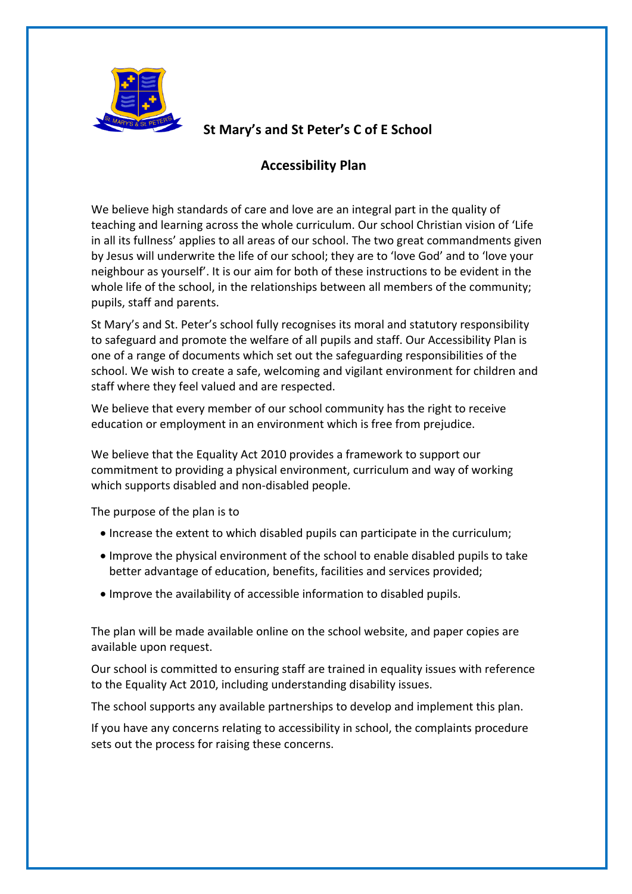

# **St Mary's and St Peter's C of E School**

## **Accessibility Plan**

We believe high standards of care and love are an integral part in the quality of teaching and learning across the whole curriculum. Our school Christian vision of 'Life in all its fullness' applies to all areas of our school. The two great commandments given by Jesus will underwrite the life of our school; they are to 'love God' and to 'love your neighbour as yourself'. It is our aim for both of these instructions to be evident in the whole life of the school, in the relationships between all members of the community; pupils, staff and parents.

St Mary's and St. Peter's school fully recognises its moral and statutory responsibility to safeguard and promote the welfare of all pupils and staff. Our Accessibility Plan is one of a range of documents which set out the safeguarding responsibilities of the school. We wish to create a safe, welcoming and vigilant environment for children and staff where they feel valued and are respected.

We believe that every member of our school community has the right to receive education or employment in an environment which is free from prejudice.

We believe that the Equality Act 2010 provides a framework to support our commitment to providing a physical environment, curriculum and way of working which supports disabled and non-disabled people.

The purpose of the plan is to

- Increase the extent to which disabled pupils can participate in the curriculum;
- Improve the physical environment of the school to enable disabled pupils to take better advantage of education, benefits, facilities and services provided;
- Improve the availability of accessible information to disabled pupils.

The plan will be made available online on the school website, and paper copies are available upon request.

Our school is committed to ensuring staff are trained in equality issues with reference to the Equality Act 2010, including understanding disability issues.

The school supports any available partnerships to develop and implement this plan.

If you have any concerns relating to accessibility in school, the complaints procedure sets out the process for raising these concerns.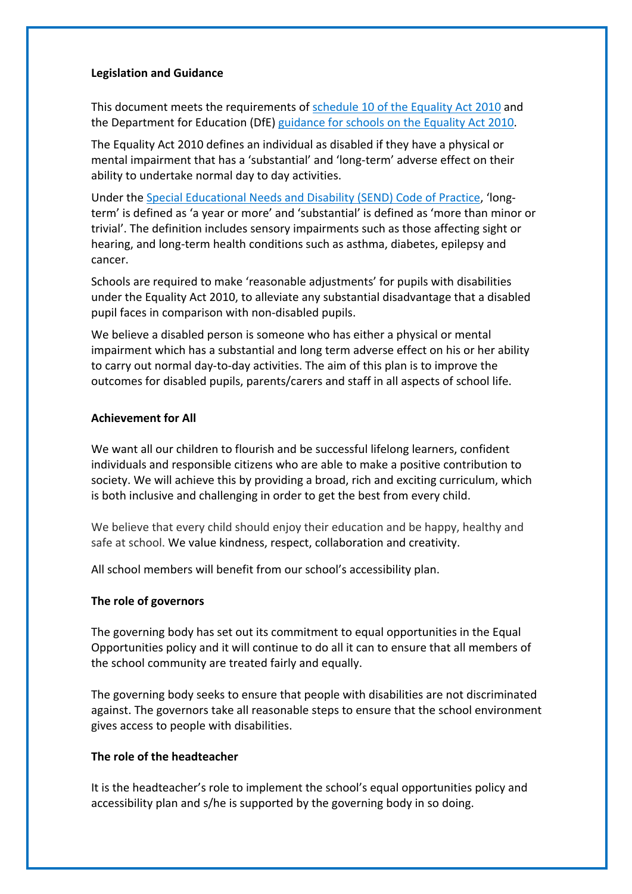### **Legislation and Guidance**

This document meets the requirements of schedule 10 of the Equality Act 2010 and the Department for Education (DfE) guidance for schools on the Equality Act 2010.

The Equality Act 2010 defines an individual as disabled if they have a physical or mental impairment that has a 'substantial' and 'long-term' adverse effect on their ability to undertake normal day to day activities.

Under the Special Educational Needs and Disability (SEND) Code of Practice, 'longterm' is defined as 'a year or more' and 'substantial' is defined as 'more than minor or trivial'. The definition includes sensory impairments such as those affecting sight or hearing, and long-term health conditions such as asthma, diabetes, epilepsy and cancer.

Schools are required to make 'reasonable adjustments' for pupils with disabilities under the Equality Act 2010, to alleviate any substantial disadvantage that a disabled pupil faces in comparison with non-disabled pupils.

We believe a disabled person is someone who has either a physical or mental impairment which has a substantial and long term adverse effect on his or her ability to carry out normal day-to-day activities. The aim of this plan is to improve the outcomes for disabled pupils, parents/carers and staff in all aspects of school life.

#### **Achievement for All**

We want all our children to flourish and be successful lifelong learners, confident individuals and responsible citizens who are able to make a positive contribution to society. We will achieve this by providing a broad, rich and exciting curriculum, which is both inclusive and challenging in order to get the best from every child.

We believe that every child should enjoy their education and be happy, healthy and safe at school. We value kindness, respect, collaboration and creativity.

All school members will benefit from our school's accessibility plan.

## **The role of governors**

The governing body has set out its commitment to equal opportunities in the Equal Opportunities policy and it will continue to do all it can to ensure that all members of the school community are treated fairly and equally.

The governing body seeks to ensure that people with disabilities are not discriminated against. The governors take all reasonable steps to ensure that the school environment gives access to people with disabilities.

## **The role of the headteacher**

It is the headteacher's role to implement the school's equal opportunities policy and accessibility plan and s/he is supported by the governing body in so doing.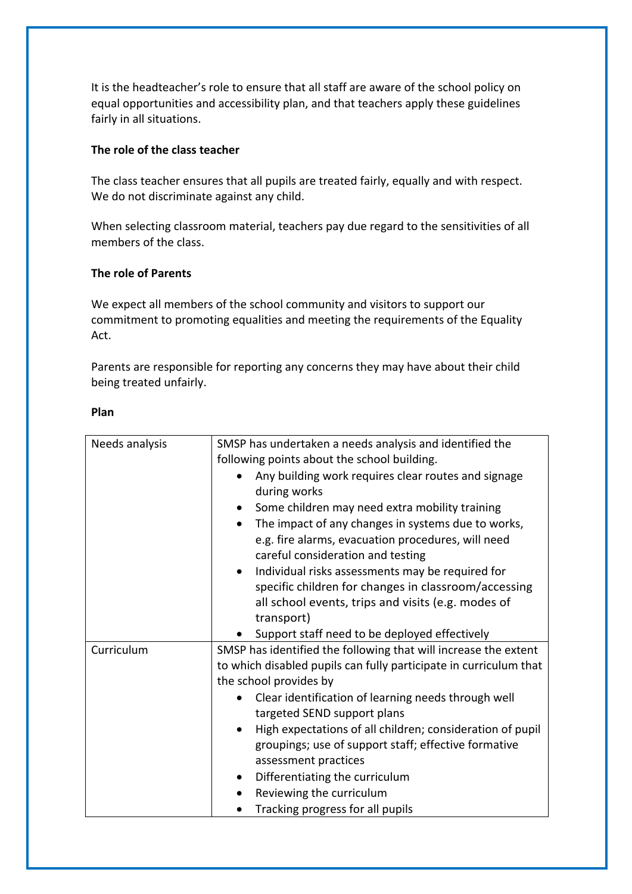It is the headteacher's role to ensure that all staff are aware of the school policy on equal opportunities and accessibility plan, and that teachers apply these guidelines fairly in all situations.

## **The role of the class teacher**

The class teacher ensures that all pupils are treated fairly, equally and with respect. We do not discriminate against any child.

When selecting classroom material, teachers pay due regard to the sensitivities of all members of the class.

## **The role of Parents**

We expect all members of the school community and visitors to support our commitment to promoting equalities and meeting the requirements of the Equality Act.

Parents are responsible for reporting any concerns they may have about their child being treated unfairly.

## **Plan**

| Needs analysis | SMSP has undertaken a needs analysis and identified the           |
|----------------|-------------------------------------------------------------------|
|                | following points about the school building.                       |
|                | Any building work requires clear routes and signage               |
|                | during works                                                      |
|                | Some children may need extra mobility training<br>$\bullet$       |
|                | The impact of any changes in systems due to works,<br>$\bullet$   |
|                | e.g. fire alarms, evacuation procedures, will need                |
|                | careful consideration and testing                                 |
|                | Individual risks assessments may be required for                  |
|                | specific children for changes in classroom/accessing              |
|                | all school events, trips and visits (e.g. modes of                |
|                | transport)                                                        |
|                | Support staff need to be deployed effectively                     |
| Curriculum     | SMSP has identified the following that will increase the extent   |
|                | to which disabled pupils can fully participate in curriculum that |
|                | the school provides by                                            |
|                | Clear identification of learning needs through well               |
|                | targeted SEND support plans                                       |
|                | High expectations of all children; consideration of pupil         |
|                | groupings; use of support staff; effective formative              |
|                | assessment practices                                              |
|                | Differentiating the curriculum                                    |
|                | Reviewing the curriculum                                          |
|                | Tracking progress for all pupils                                  |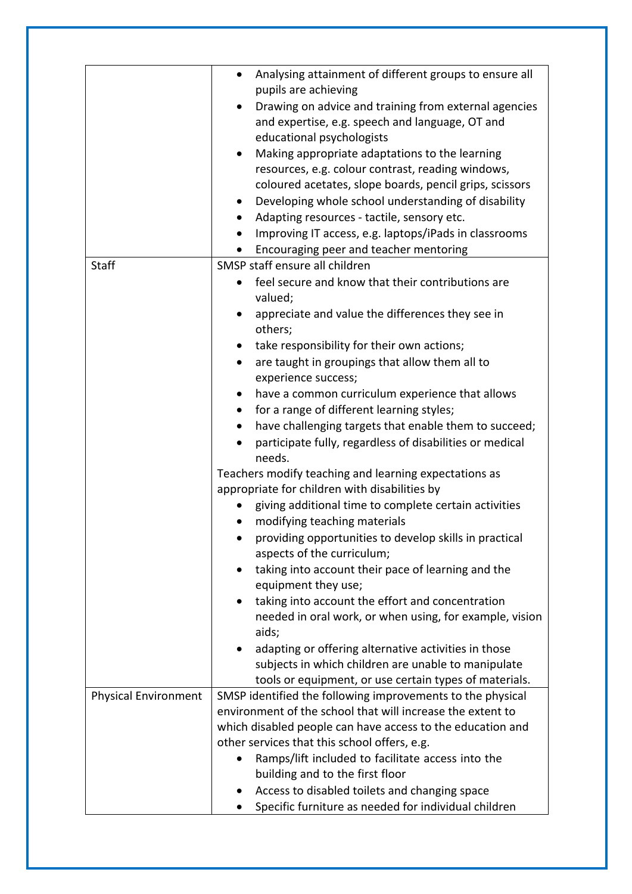|                             | Analysing attainment of different groups to ensure all<br>pupils are achieving |
|-----------------------------|--------------------------------------------------------------------------------|
|                             | Drawing on advice and training from external agencies                          |
|                             | and expertise, e.g. speech and language, OT and                                |
|                             | educational psychologists                                                      |
|                             | Making appropriate adaptations to the learning<br>$\bullet$                    |
|                             |                                                                                |
|                             | resources, e.g. colour contrast, reading windows,                              |
|                             | coloured acetates, slope boards, pencil grips, scissors                        |
|                             | Developing whole school understanding of disability<br>$\bullet$               |
|                             | Adapting resources - tactile, sensory etc.<br>$\bullet$                        |
|                             | Improving IT access, e.g. laptops/iPads in classrooms                          |
|                             | Encouraging peer and teacher mentoring                                         |
| <b>Staff</b>                | SMSP staff ensure all children                                                 |
|                             | feel secure and know that their contributions are<br>$\bullet$                 |
|                             | valued;                                                                        |
|                             | appreciate and value the differences they see in<br>$\bullet$                  |
|                             | others;                                                                        |
|                             | take responsibility for their own actions;<br>$\bullet$                        |
|                             | are taught in groupings that allow them all to                                 |
|                             | experience success;                                                            |
|                             | have a common curriculum experience that allows                                |
|                             | for a range of different learning styles;<br>$\bullet$                         |
|                             |                                                                                |
|                             | have challenging targets that enable them to succeed;                          |
|                             | participate fully, regardless of disabilities or medical                       |
|                             | needs.                                                                         |
|                             | Teachers modify teaching and learning expectations as                          |
|                             | appropriate for children with disabilities by                                  |
|                             | giving additional time to complete certain activities                          |
|                             | modifying teaching materials                                                   |
|                             | providing opportunities to develop skills in practical                         |
|                             | aspects of the curriculum;                                                     |
|                             | taking into account their pace of learning and the                             |
|                             | equipment they use;                                                            |
|                             | taking into account the effort and concentration<br>٠                          |
|                             | needed in oral work, or when using, for example, vision                        |
|                             | aids;                                                                          |
|                             | adapting or offering alternative activities in those                           |
|                             | subjects in which children are unable to manipulate                            |
|                             | tools or equipment, or use certain types of materials.                         |
| <b>Physical Environment</b> | SMSP identified the following improvements to the physical                     |
|                             | environment of the school that will increase the extent to                     |
|                             | which disabled people can have access to the education and                     |
|                             | other services that this school offers, e.g.                                   |
|                             | Ramps/lift included to facilitate access into the                              |
|                             | building and to the first floor                                                |
|                             | Access to disabled toilets and changing space<br>$\bullet$                     |
|                             |                                                                                |
|                             | Specific furniture as needed for individual children                           |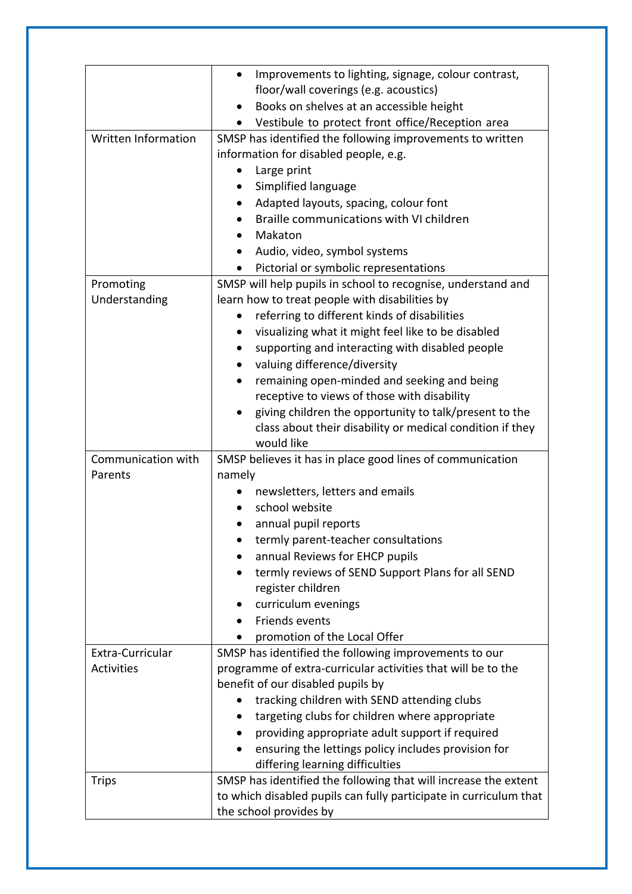|                            | Improvements to lighting, signage, colour contrast,               |
|----------------------------|-------------------------------------------------------------------|
|                            | floor/wall coverings (e.g. acoustics)                             |
|                            | Books on shelves at an accessible height                          |
|                            | Vestibule to protect front office/Reception area                  |
| <b>Written Information</b> | SMSP has identified the following improvements to written         |
|                            | information for disabled people, e.g.                             |
|                            | Large print                                                       |
|                            | Simplified language<br>$\bullet$                                  |
|                            | Adapted layouts, spacing, colour font                             |
|                            | Braille communications with VI children                           |
|                            | Makaton                                                           |
|                            | Audio, video, symbol systems                                      |
|                            | Pictorial or symbolic representations                             |
| Promoting                  | SMSP will help pupils in school to recognise, understand and      |
| Understanding              | learn how to treat people with disabilities by                    |
|                            | referring to different kinds of disabilities                      |
|                            | visualizing what it might feel like to be disabled                |
|                            | supporting and interacting with disabled people                   |
|                            | valuing difference/diversity                                      |
|                            | remaining open-minded and seeking and being<br>$\bullet$          |
|                            | receptive to views of those with disability                       |
|                            | giving children the opportunity to talk/present to the            |
|                            | class about their disability or medical condition if they         |
|                            | would like                                                        |
| Communication with         | SMSP believes it has in place good lines of communication         |
| Parents                    | namely                                                            |
|                            | newsletters, letters and emails                                   |
|                            | school website                                                    |
|                            | annual pupil reports                                              |
|                            | termly parent-teacher consultations                               |
|                            | annual Reviews for EHCP pupils                                    |
|                            | termly reviews of SEND Support Plans for all SEND                 |
|                            | register children                                                 |
|                            | curriculum evenings                                               |
|                            | Friends events                                                    |
|                            | promotion of the Local Offer                                      |
| Extra-Curricular           | SMSP has identified the following improvements to our             |
| <b>Activities</b>          | programme of extra-curricular activities that will be to the      |
|                            | benefit of our disabled pupils by                                 |
|                            | tracking children with SEND attending clubs                       |
|                            | targeting clubs for children where appropriate                    |
|                            | providing appropriate adult support if required                   |
|                            |                                                                   |
|                            | ensuring the lettings policy includes provision for               |
|                            | differing learning difficulties                                   |
| <b>Trips</b>               | SMSP has identified the following that will increase the extent   |
|                            | to which disabled pupils can fully participate in curriculum that |
|                            | the school provides by                                            |